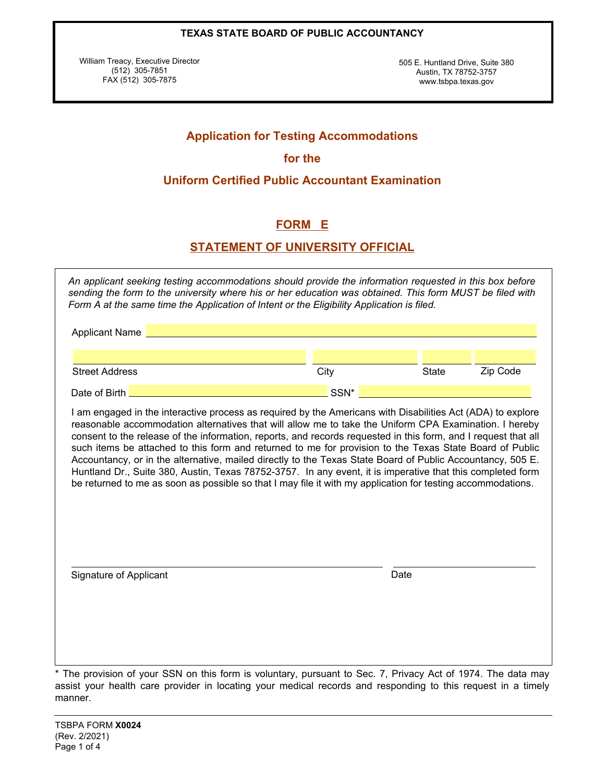### **TEXAS STATE BOARD OF PUBLIC ACCOUNTANCY**

William Treacy, Executive Director (512) 305-7851 FAX (512) 305-7875

505 E. Huntland Drive, Suite 380 Austin, TX 78752-3757 www.tsbpa.texas.gov

## **Application for Testing Accommodations**

## **for the**

# **Uniform Certified Public Accountant Examination**

# **FORM E**

# **STATEMENT OF UNIVERSITY OFFICIAL**

| Applicant Name         |                                                                                                                                                                                                                                                                                                                                                                                                                                                       |              |          |
|------------------------|-------------------------------------------------------------------------------------------------------------------------------------------------------------------------------------------------------------------------------------------------------------------------------------------------------------------------------------------------------------------------------------------------------------------------------------------------------|--------------|----------|
| <b>Street Address</b>  | City                                                                                                                                                                                                                                                                                                                                                                                                                                                  | <b>State</b> | Zip Code |
| Date of Birth          | SSN*                                                                                                                                                                                                                                                                                                                                                                                                                                                  |              |          |
|                        | consent to the release of the information, reports, and records requested in this form, and I request that all<br>such items be attached to this form and returned to me for provision to the Texas State Board of Public<br>Accountancy, or in the alternative, mailed directly to the Texas State Board of Public Accountancy, 505 E.<br>Huntland Dr., Suite 380, Austin, Texas 78752-3757. In any event, it is imperative that this completed form |              |          |
|                        | be returned to me as soon as possible so that I may file it with my application for testing accommodations.                                                                                                                                                                                                                                                                                                                                           |              |          |
| Signature of Applicant |                                                                                                                                                                                                                                                                                                                                                                                                                                                       | Date         |          |

\* The provision of your SSN on this form is voluntary, pursuant to Sec. 7, Privacy Act of 1974. The data may assist your health care provider in locating your medical records and responding to this request in a timely manner.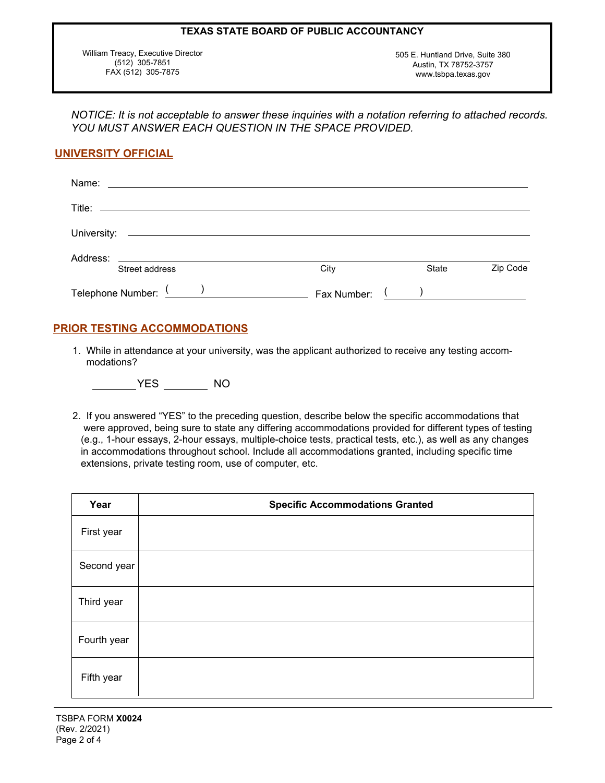#### **TEXAS STATE BOARD OF PUBLIC ACCOUNTANCY**

William Treacy, Executive Director (512) 305-7851 FAX (512) 305-7875

505 E. Huntland Drive, Suite 380 Austin, TX 78752-3757 www.tsbpa.texas.gov

*NOTICE: It is not acceptable to answer these inquiries with a notation referring to attached records. YOU MUST ANSWER EACH QUESTION IN THE SPACE PROVIDED.*

## **UNIVERSITY OFFICIAL**

| Address:                |             | State | Zip Code |
|-------------------------|-------------|-------|----------|
| Street address          | City        |       |          |
| Telephone Number: $($ ) | Fax Number: |       |          |

### **PRIOR TESTING ACCOMMODATIONS**

1. While in attendance at your university, was the applicant authorized to receive any testing accom modations?

YES NO

2. If you answered "YES" to the preceding question, describe below the specific accommodations that were approved, being sure to state any differing accommodations provided for different types of testing (e.g., 1-hour essays, 2-hour essays, multiple-choice tests, practical tests, etc.), as well as any changes in accommodations throughout school. Include all accommodations granted, including specific time extensions, private testing room, use of computer, etc.

| Year        | <b>Specific Accommodations Granted</b> |
|-------------|----------------------------------------|
| First year  |                                        |
| Second year |                                        |
| Third year  |                                        |
| Fourth year |                                        |
| Fifth year  |                                        |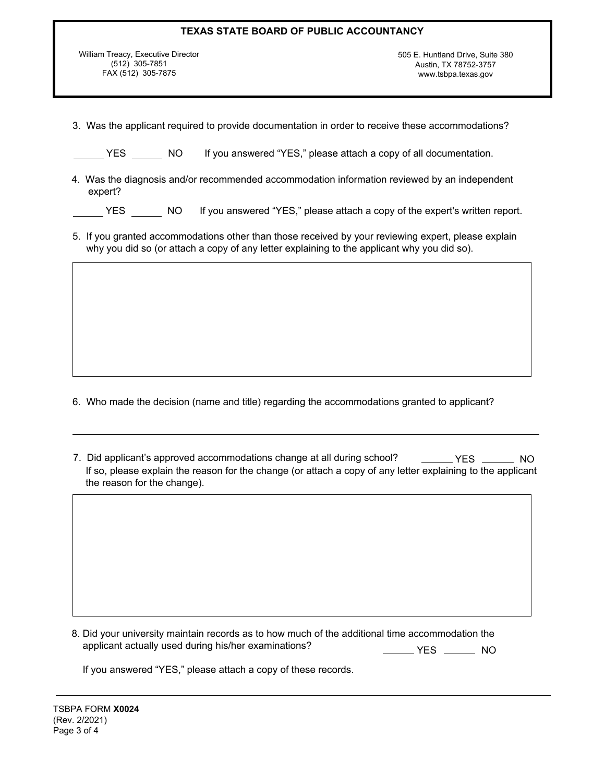| <b>TEXAS STATE BOARD OF PUBLIC ACCOUNTANCY</b> |                                  |  |  |  |
|------------------------------------------------|----------------------------------|--|--|--|
| William Treacy, Executive Director             | 505 E. Huntland Drive, Suite 380 |  |  |  |
| (512) 305-7851                                 | Austin, TX 78752-3757            |  |  |  |
| FAX (512) 305-7875                             | www.tsbpa.texas.gov              |  |  |  |

3. Was the applicant required to provide documentation in order to receive these accommodations?

| YES. | NO. |  |  |  | If you answered "YES," please attach a copy of all documentation. |
|------|-----|--|--|--|-------------------------------------------------------------------|
|------|-----|--|--|--|-------------------------------------------------------------------|

4. Was the diagnosis and/or recommended accommodation information reviewed by an independent expert?

|  | YES. |  |  |  | If you answered "YES," please attach a copy of the expert's written report. |  |
|--|------|--|--|--|-----------------------------------------------------------------------------|--|
|--|------|--|--|--|-----------------------------------------------------------------------------|--|

5. If you granted accommodations other than those received by your reviewing expert, please explain why you did so (or attach a copy of any letter explaining to the applicant why you did so).

- 6. Who made the decision (name and title) regarding the accommodations granted to applicant?
- 7. Did applicant's approved accommodations change at all during school? \_\_\_\_\_\_\_ YES \_\_\_\_\_\_ NO If so, please explain the reason for the change (or attach a copy of any letter explaining to the applicant the reason for the change).

8. Did your university maintain records as to how much of the additional time accommodation the applicant actually used during his/her examinations?  $\rule{1em}{0.15mm}$  YES  $\rule{1em}{0.15mm}$  NO

If you answered "YES," please attach a copy of these records.